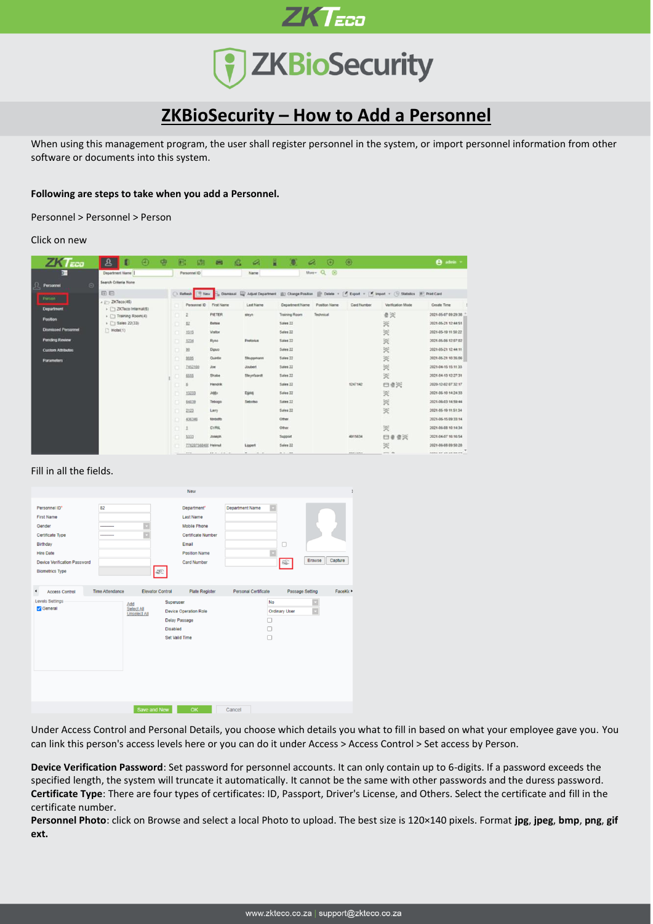

**ZKTECO** 

# **ZKBioSecurity – How to Add a Personnel**

When using this management program, the user shall register personnel in the system, or import personnel information from other software or documents into this system.

## **Following are steps to take when you add a Personnel.**

Personnel > Personnel > Person

### Click on new

| $ZKT$ <sub>ECO</sub>       | প্ৰ<br>п<br>$\bigcirc$                                 | $\oplus$ | 凬<br>面                      | 画                 | e<br>a                       | н<br>o                 | $\circ$<br>a          | $\circ$        |                                                                                                                                                                   | <b>B</b> admin =                                  |
|----------------------------|--------------------------------------------------------|----------|-----------------------------|-------------------|------------------------------|------------------------|-----------------------|----------------|-------------------------------------------------------------------------------------------------------------------------------------------------------------------|---------------------------------------------------|
| p.                         | Department Name                                        |          | Personnel ID                |                   | <b>Name</b>                  |                        | $Morr - Q$<br>$\circ$ |                |                                                                                                                                                                   |                                                   |
| л<br>$\Theta$<br>Personnel | Search Criteria None                                   |          |                             |                   |                              |                        |                       |                |                                                                                                                                                                   |                                                   |
|                            | 田日                                                     |          | - Reflesh                   |                   |                              |                        |                       |                | <sup>[19</sup> New 15, Damissal Light Algust Department (20) Change Position (19) Delate - [ <sup>2</sup> ] Export - [19] Import - (19) Statistics (8) Print Card |                                                   |
| <b>Person</b>              | $A \rightarrow ZKTeco(46)$                             |          | Personnel ID                | <b>First Name</b> | <b>Last Name</b>             | Department Name        | Position Name         | Card Number    | Verification Mode                                                                                                                                                 | Create Tane                                       |
| Department                 | > <a> 2KTeco Internal(6)<br/>&gt; Training Room(4)</a> |          | o                           | PIETER            | steyn                        | <b>Training Room</b>   | Technical             |                | ●关                                                                                                                                                                | 2021-05-07 09:29:38                               |
| Position                   | $\triangleright$ $\square$ Sales 22(33)                |          | $\mathbb{R}$<br>n.          | Eetsie            |                              | Sales 22               |                       |                | 実                                                                                                                                                                 | 2021-05-21 12:44:51                               |
| <b>Dismissed Personnel</b> | $\Box$ Hotel(1)                                        |          | 1515<br>O.                  | Visitor           |                              | Sales 22               |                       |                | 实                                                                                                                                                                 | 2021-05-19 11:50:22                               |
| <b>Pending Review</b>      |                                                        |          | 1234                        | Ryno              | Pretorius                    | Sales 22               |                       |                | 笑                                                                                                                                                                 | 2021-05-06 12:07:02                               |
| <b>Custom Attributes</b>   |                                                        |          | 20<br>۰                     | Dipun             |                              | Sales 22               |                       |                | 災                                                                                                                                                                 | 2021-05-21 12:44:11                               |
| <b>Parameters</b>          |                                                        |          | 9595                        | Quintin           | Stuppmann                    | Sales 22               |                       |                | 笑                                                                                                                                                                 | 2021-05-21 10:35:06                               |
|                            |                                                        |          | 2,452,500                   | 300               | Joubert                      | Sales 22               |                       |                | 宾                                                                                                                                                                 | 2021-04-15 15:11:33                               |
|                            |                                                        |          | \$555                       | Shabe             | Steynfaardt                  | Sales 22               |                       |                | 关                                                                                                                                                                 | 2021-04-13 12:27:31                               |
|                            |                                                        |          |                             | <b>Hendrik</b>    |                              | Sales 22               |                       | 1247142        | 日章关                                                                                                                                                               | 2020-12-02 07:32:17                               |
|                            |                                                        |          | 13233                       | <b>John</b>       | Djddj                        | Sales 22               |                       |                | 实                                                                                                                                                                 | 2021-06-10 14:24:33                               |
|                            |                                                        |          | 64539                       | Tebogo            | Sebolso                      | Sales 22               |                       |                | 奖                                                                                                                                                                 | 2021-06-03 14:59:44                               |
|                            |                                                        |          | 2123<br>n                   | Larry             |                              | Sales 22               |                       |                | 実                                                                                                                                                                 | 2021-05-19 11:51:34                               |
|                            |                                                        |          | 436380<br>œ                 | förbidty          |                              | Other                  |                       |                |                                                                                                                                                                   | 2021-06-15 09:33:14                               |
|                            |                                                        |          | o.                          | CYRIL.            |                              | Other                  |                       |                | 关                                                                                                                                                                 | 2021-06-08 10:14:34                               |
|                            |                                                        |          | 5333                        | Joseph            |                              | Support                |                       | 4915634        | □● 查究                                                                                                                                                             | 2021-04-07 16:16:54                               |
|                            |                                                        |          | 770207560400 Helmut<br>men. | 30 3 10 P         | Lippert<br>$-0.00$<br>$\sim$ | Sales 22<br>$8.1 - 88$ |                       | <b>ARRIVAL</b> | 笑<br>$-$                                                                                                                                                          | 2021-06-08 09:50:20<br><b>BANA BP AN UR BR PR</b> |

# Fill in all the fields.

|                                                                                                                                                                   |                        |                                                                                        | <b>New</b>                                                                                                                                 |                        |                                 |                           |         |
|-------------------------------------------------------------------------------------------------------------------------------------------------------------------|------------------------|----------------------------------------------------------------------------------------|--------------------------------------------------------------------------------------------------------------------------------------------|------------------------|---------------------------------|---------------------------|---------|
| Personnel ID*<br><b>First Name</b><br>Gender<br>Certificate Type<br>Birthday<br><b>Hire Date</b><br><b>Device Verification Password</b><br><b>Biometrics Type</b> | 82<br><br>----------   | ú<br>Þ<br>$\mathscr{F}$                                                                | Department*<br><b>Last Name</b><br><b>Mobile Phone</b><br><b>Certificate Number</b><br>Email<br><b>Position Name</b><br><b>Card Number</b> | <b>Department Name</b> | □<br>Е<br>跽                     | <b>Browse</b>             | Capture |
| $\overline{\phantom{a}}$<br><b>Access Control</b><br><b>Levels Settings</b><br><b>C</b> General                                                                   | <b>Time Attendance</b> | <b>Elevator Control</b><br>Add<br>Select All<br><b>Unselect All</b><br><b>Disabled</b> | <b>Plate Register</b><br>Superuser<br><b>Device Operation Role</b><br><b>Delay Passage</b><br>Set Valid Time                               | Personal Certificate   | No<br><b>Ordinary User</b><br>о | Passage Setting<br>×<br>F | FaceKin |
|                                                                                                                                                                   |                        | Save and New                                                                           | <b>OK</b>                                                                                                                                  | Cancel                 |                                 |                           |         |

Under Access Control and Personal Details, you choose which details you what to fill in based on what your employee gave you. You can link this person's access levels here or you can do it under Access > Access Control > Set access by Person.

**Device Verification Password**: Set password for personnel accounts. It can only contain up to 6-digits. If a password exceeds the specified length, the system will truncate it automatically. It cannot be the same with other passwords and the duress password. **Certificate Type**: There are four types of certificates: ID, Passport, Driver's License, and Others. Select the certificate and fill in the certificate number.

**Personnel Photo**: click on Browse and select a local Photo to upload. The best size is 120×140 pixels. Format **jpg**, **jpeg**, **bmp**, **png**, **gif ext.**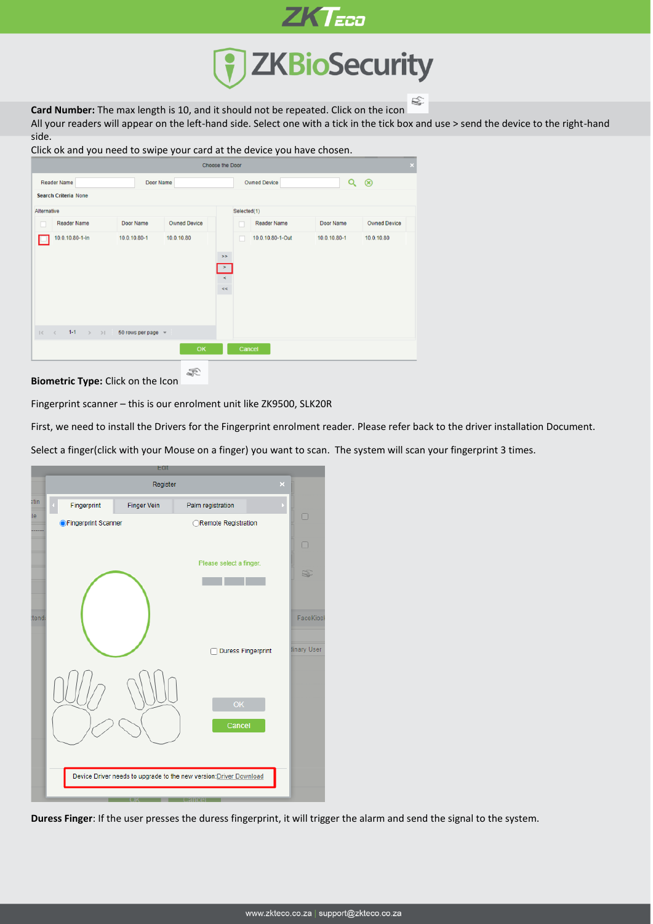

**ZKTECO** 

**Card Number:** The max length is 10, and it should not be repeated. Click on the icon

All your readers will appear on the left-hand side. Select one with a tick in the tick box and use > send the device to the right-hand side.

| Click ok and you need to swipe your card at the device you have chosen. |                         |                     |                                                 |                    |              |                     |  |  |
|-------------------------------------------------------------------------|-------------------------|---------------------|-------------------------------------------------|--------------------|--------------|---------------------|--|--|
|                                                                         |                         |                     | <b>Choose the Door</b>                          |                    |              | ×                   |  |  |
| <b>Reader Name</b>                                                      | Door Name               |                     | <b>Owned Device</b>                             | $\circledast$      |              |                     |  |  |
| <b>Search Criteria None</b>                                             |                         |                     |                                                 |                    |              |                     |  |  |
| Alternative                                                             |                         |                     | Selected(1)                                     |                    |              |                     |  |  |
| <b>Reader Name</b><br>u.                                                | Door Name               | <b>Owned Device</b> |                                                 | <b>Reader Name</b> | Door Name    | <b>Owned Device</b> |  |  |
| 10.0.10.80-1-ln                                                         | 10.0.10.80-1            | 10.0.10.80          | $>\!>$<br>$\langle \rangle$<br>$\,<$<br>$<$ $<$ | 10.0.10.80-1-Out   | 10.0.10.80-1 | 10.0.10.80          |  |  |
| $1 - 1$<br>$\mathbb{R}^n \times \mathbb{R}^n$<br>$>$ $>$ $>$ $>$        | 50 rows per page $\sim$ |                     |                                                 |                    |              |                     |  |  |
|                                                                         |                         | <b>OK</b>           |                                                 | Cancel             |              |                     |  |  |
|                                                                         |                         |                     |                                                 |                    |              |                     |  |  |

**Biometric Type:** Click on the Icon

Fingerprint scanner – this is our enrolment unit like ZK9500, SLK20R

B.

First, we need to install the Drivers for the Fingerprint enrolment reader. Please refer back to the driver installation Document.

Select a finger(click with your Mouse on a finger) you want to scan. The system will scan your fingerprint 3 times.



**Duress Finger**: If the user presses the duress fingerprint, it will trigger the alarm and send the signal to the system.